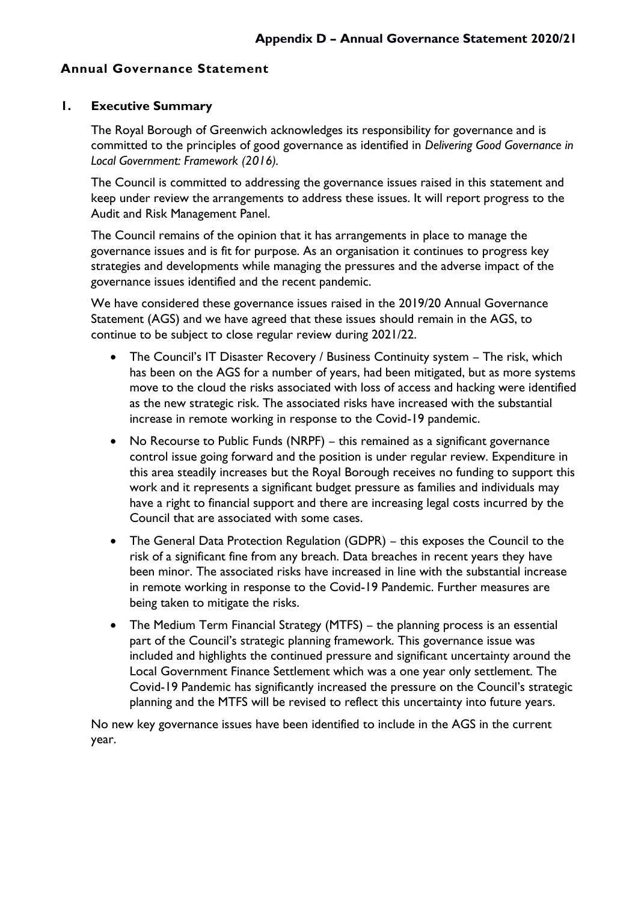### **Annual Governance Statement**

#### **1. Executive Summary**

The Royal Borough of Greenwich acknowledges its responsibility for governance and is committed to the principles of good governance as identified in *Delivering Good Governance in Local Government: Framework (2016).* 

The Council is committed to addressing the governance issues raised in this statement and keep under review the arrangements to address these issues. It will report progress to the Audit and Risk Management Panel.

The Council remains of the opinion that it has arrangements in place to manage the governance issues and is fit for purpose. As an organisation it continues to progress key strategies and developments while managing the pressures and the adverse impact of the governance issues identified and the recent pandemic.

We have considered these governance issues raised in the 2019/20 Annual Governance Statement (AGS) and we have agreed that these issues should remain in the AGS, to continue to be subject to close regular review during 2021/22.

- The Council's IT Disaster Recovery / Business Continuity system The risk, which has been on the AGS for a number of years, had been mitigated, but as more systems move to the cloud the risks associated with loss of access and hacking were identified as the new strategic risk. The associated risks have increased with the substantial increase in remote working in response to the Covid-19 pandemic.
- No Recourse to Public Funds (NRPF) this remained as a significant governance control issue going forward and the position is under regular review. Expenditure in this area steadily increases but the Royal Borough receives no funding to support this work and it represents a significant budget pressure as families and individuals may have a right to financial support and there are increasing legal costs incurred by the Council that are associated with some cases.
- The General Data Protection Regulation (GDPR) this exposes the Council to the risk of a significant fine from any breach. Data breaches in recent years they have been minor. The associated risks have increased in line with the substantial increase in remote working in response to the Covid-19 Pandemic. Further measures are being taken to mitigate the risks.
- The Medium Term Financial Strategy (MTFS) the planning process is an essential part of the Council's strategic planning framework. This governance issue was included and highlights the continued pressure and significant uncertainty around the Local Government Finance Settlement which was a one year only settlement. The Covid-19 Pandemic has significantly increased the pressure on the Council's strategic planning and the MTFS will be revised to reflect this uncertainty into future years.

No new key governance issues have been identified to include in the AGS in the current year.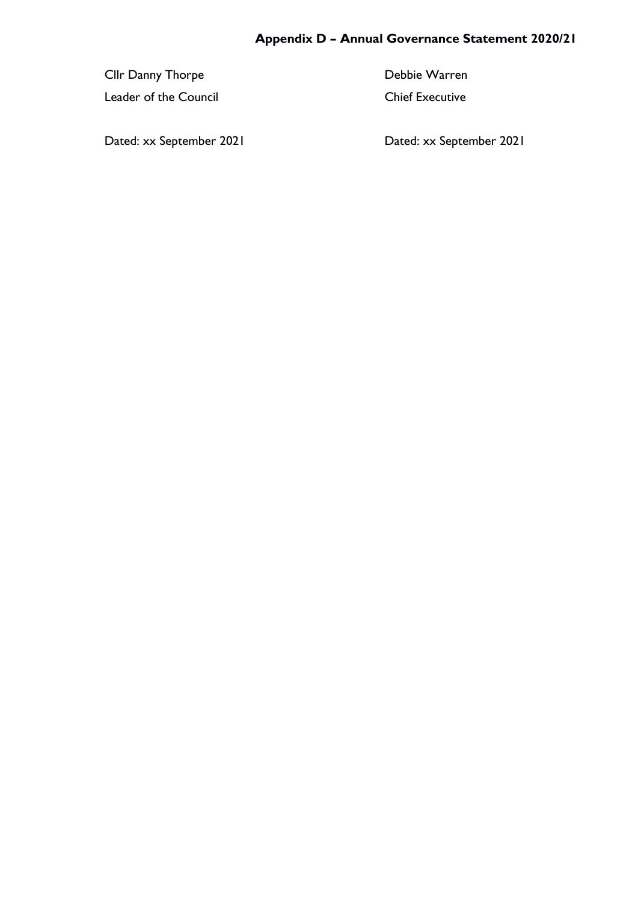Cllr Danny Thorpe **Debbie Warren** 

Leader of the Council Chief Executive

Dated: xx September 2021 Dated: xx September 2021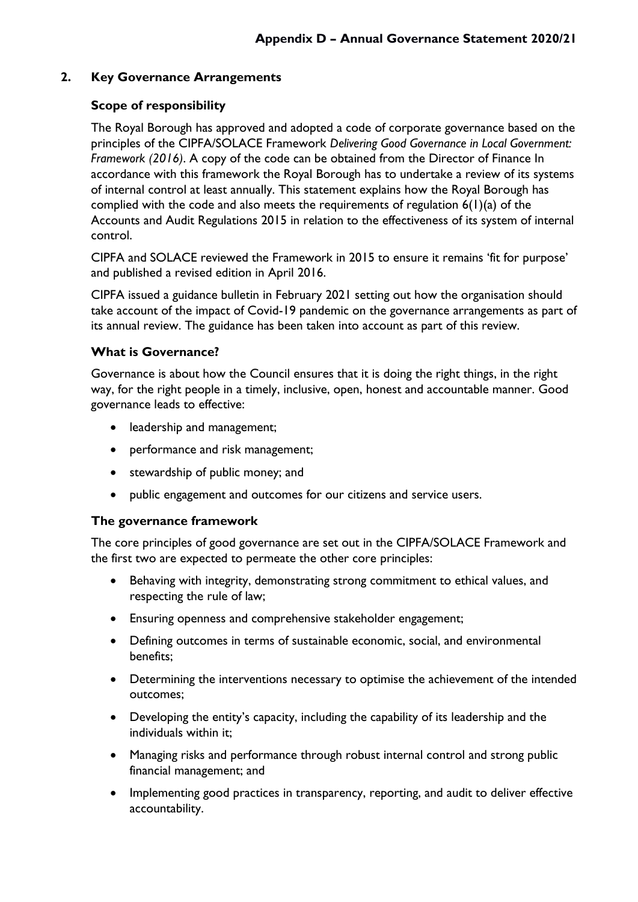### **2. Key Governance Arrangements**

### **Scope of responsibility**

The Royal Borough has approved and adopted a code of corporate governance based on the principles of the CIPFA/SOLACE Framework *Delivering Good Governance in Local Government: Framework (2016)*. A copy of the code can be obtained from the Director of Finance In accordance with this framework the Royal Borough has to undertake a review of its systems of internal control at least annually. This statement explains how the Royal Borough has complied with the code and also meets the requirements of regulation  $6(1)(a)$  of the Accounts and Audit Regulations 2015 in relation to the effectiveness of its system of internal control.

CIPFA and SOLACE reviewed the Framework in 2015 to ensure it remains 'fit for purpose' and published a revised edition in April 2016.

CIPFA issued a guidance bulletin in February 2021 setting out how the organisation should take account of the impact of Covid-19 pandemic on the governance arrangements as part of its annual review. The guidance has been taken into account as part of this review.

#### **What is Governance?**

Governance is about how the Council ensures that it is doing the right things, in the right way, for the right people in a timely, inclusive, open, honest and accountable manner. Good governance leads to effective:

- leadership and management;
- performance and risk management;
- stewardship of public money; and
- public engagement and outcomes for our citizens and service users.

#### **The governance framework**

The core principles of good governance are set out in the CIPFA/SOLACE Framework and the first two are expected to permeate the other core principles:

- Behaving with integrity, demonstrating strong commitment to ethical values, and respecting the rule of law;
- Ensuring openness and comprehensive stakeholder engagement;
- Defining outcomes in terms of sustainable economic, social, and environmental benefits;
- Determining the interventions necessary to optimise the achievement of the intended outcomes;
- Developing the entity's capacity, including the capability of its leadership and the individuals within it;
- Managing risks and performance through robust internal control and strong public financial management; and
- Implementing good practices in transparency, reporting, and audit to deliver effective accountability.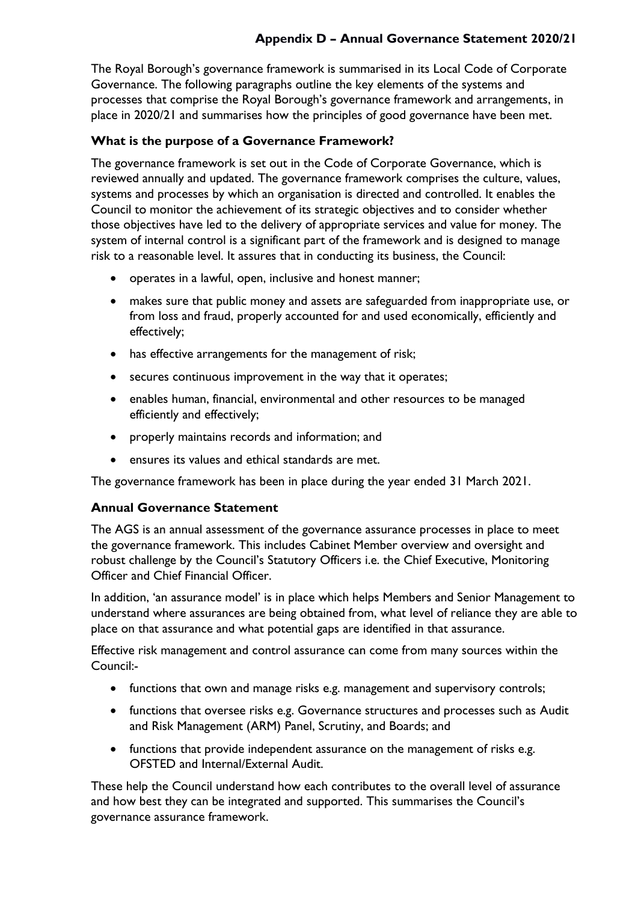The Royal Borough's governance framework is summarised in its Local Code of Corporate Governance. The following paragraphs outline the key elements of the systems and processes that comprise the Royal Borough's governance framework and arrangements, in place in 2020/21 and summarises how the principles of good governance have been met.

## **What is the purpose of a Governance Framework?**

The governance framework is set out in the Code of Corporate Governance, which is reviewed annually and updated. The governance framework comprises the culture, values, systems and processes by which an organisation is directed and controlled. It enables the Council to monitor the achievement of its strategic objectives and to consider whether those objectives have led to the delivery of appropriate services and value for money. The system of internal control is a significant part of the framework and is designed to manage risk to a reasonable level. It assures that in conducting its business, the Council:

- operates in a lawful, open, inclusive and honest manner;
- makes sure that public money and assets are safeguarded from inappropriate use, or from loss and fraud, properly accounted for and used economically, efficiently and effectively;
- has effective arrangements for the management of risk;
- secures continuous improvement in the way that it operates;
- enables human, financial, environmental and other resources to be managed efficiently and effectively;
- properly maintains records and information; and
- ensures its values and ethical standards are met.

The governance framework has been in place during the year ended 31 March 2021.

#### **Annual Governance Statement**

The AGS is an annual assessment of the governance assurance processes in place to meet the governance framework. This includes Cabinet Member overview and oversight and robust challenge by the Council's Statutory Officers i.e. the Chief Executive, Monitoring Officer and Chief Financial Officer.

In addition, 'an assurance model' is in place which helps Members and Senior Management to understand where assurances are being obtained from, what level of reliance they are able to place on that assurance and what potential gaps are identified in that assurance.

Effective risk management and control assurance can come from many sources within the Council:-

- functions that own and manage risks e.g. management and supervisory controls;
- functions that oversee risks e.g. Governance structures and processes such as Audit and Risk Management (ARM) Panel, Scrutiny, and Boards; and
- functions that provide independent assurance on the management of risks e.g. OFSTED and Internal/External Audit.

These help the Council understand how each contributes to the overall level of assurance and how best they can be integrated and supported. This summarises the Council's governance assurance framework.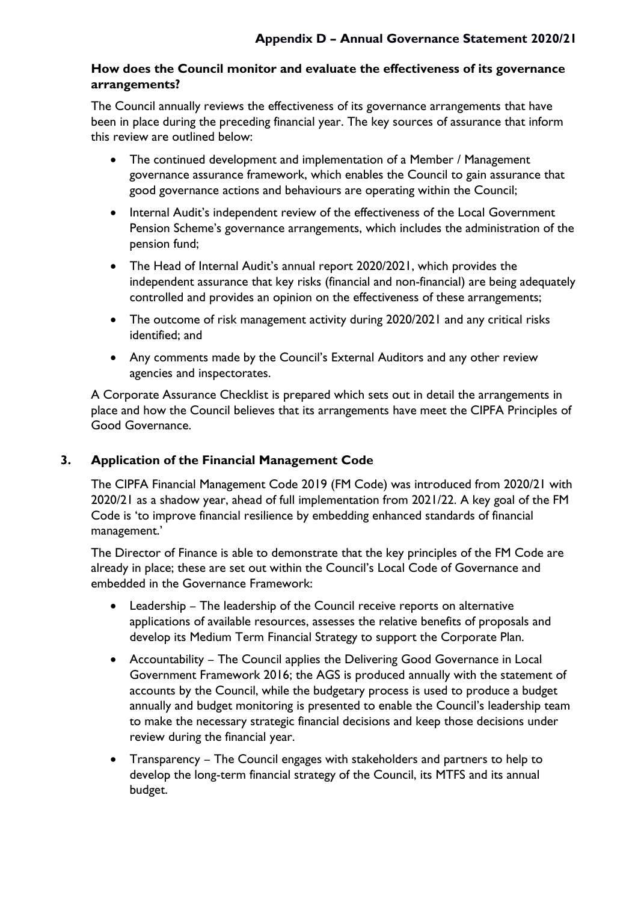#### **How does the Council monitor and evaluate the effectiveness of its governance arrangements?**

The Council annually reviews the effectiveness of its governance arrangements that have been in place during the preceding financial year. The key sources of assurance that inform this review are outlined below:

- The continued development and implementation of a Member / Management governance assurance framework, which enables the Council to gain assurance that good governance actions and behaviours are operating within the Council;
- Internal Audit's independent review of the effectiveness of the Local Government Pension Scheme's governance arrangements, which includes the administration of the pension fund;
- The Head of Internal Audit's annual report 2020/2021, which provides the independent assurance that key risks (financial and non-financial) are being adequately controlled and provides an opinion on the effectiveness of these arrangements;
- The outcome of risk management activity during 2020/2021 and any critical risks identified; and
- Any comments made by the Council's External Auditors and any other review agencies and inspectorates.

A Corporate Assurance Checklist is prepared which sets out in detail the arrangements in place and how the Council believes that its arrangements have meet the CIPFA Principles of Good Governance.

## **3. Application of the Financial Management Code**

The CIPFA Financial Management Code 2019 (FM Code) was introduced from 2020/21 with 2020/21 as a shadow year, ahead of full implementation from 2021/22. A key goal of the FM Code is 'to improve financial resilience by embedding enhanced standards of financial management.'

The Director of Finance is able to demonstrate that the key principles of the FM Code are already in place; these are set out within the Council's Local Code of Governance and embedded in the Governance Framework:

- Leadership The leadership of the Council receive reports on alternative applications of available resources, assesses the relative benefits of proposals and develop its Medium Term Financial Strategy to support the Corporate Plan.
- Accountability The Council applies the Delivering Good Governance in Local Government Framework 2016; the AGS is produced annually with the statement of accounts by the Council, while the budgetary process is used to produce a budget annually and budget monitoring is presented to enable the Council's leadership team to make the necessary strategic financial decisions and keep those decisions under review during the financial year.
- Transparency The Council engages with stakeholders and partners to help to develop the long-term financial strategy of the Council, its MTFS and its annual budget.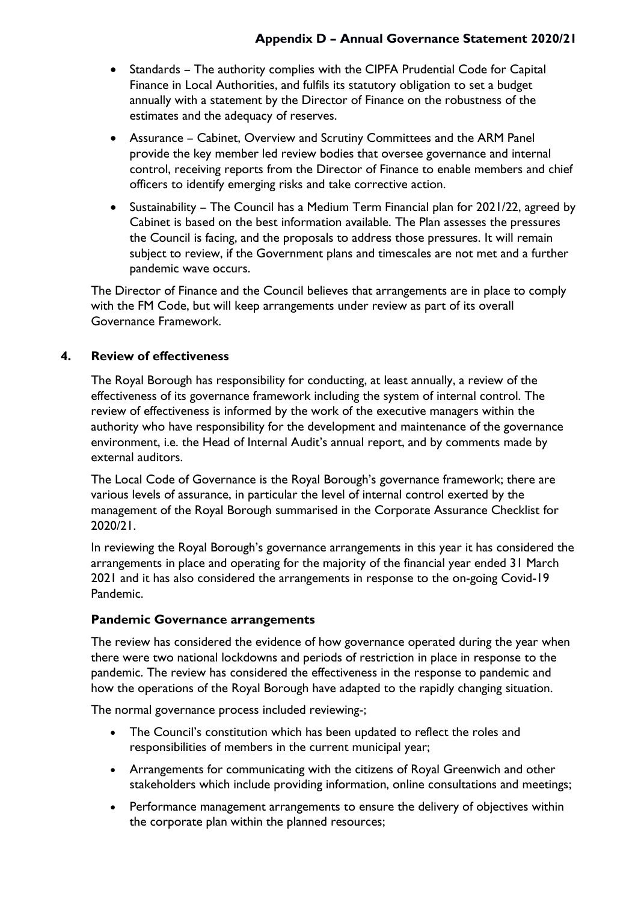- Standards The authority complies with the CIPFA Prudential Code for Capital Finance in Local Authorities, and fulfils its statutory obligation to set a budget annually with a statement by the Director of Finance on the robustness of the estimates and the adequacy of reserves.
- Assurance Cabinet, Overview and Scrutiny Committees and the ARM Panel provide the key member led review bodies that oversee governance and internal control, receiving reports from the Director of Finance to enable members and chief officers to identify emerging risks and take corrective action.
- Sustainability The Council has a Medium Term Financial plan for 2021/22, agreed by Cabinet is based on the best information available. The Plan assesses the pressures the Council is facing, and the proposals to address those pressures. It will remain subject to review, if the Government plans and timescales are not met and a further pandemic wave occurs.

The Director of Finance and the Council believes that arrangements are in place to comply with the FM Code, but will keep arrangements under review as part of its overall Governance Framework.

## **4. Review of effectiveness**

The Royal Borough has responsibility for conducting, at least annually, a review of the effectiveness of its governance framework including the system of internal control. The review of effectiveness is informed by the work of the executive managers within the authority who have responsibility for the development and maintenance of the governance environment, i.e. the Head of Internal Audit's annual report, and by comments made by external auditors.

The Local Code of Governance is the Royal Borough's governance framework; there are various levels of assurance, in particular the level of internal control exerted by the management of the Royal Borough summarised in the Corporate Assurance Checklist for 2020/21.

In reviewing the Royal Borough's governance arrangements in this year it has considered the arrangements in place and operating for the majority of the financial year ended 31 March 2021 and it has also considered the arrangements in response to the on-going Covid-19 Pandemic.

#### **Pandemic Governance arrangements**

The review has considered the evidence of how governance operated during the year when there were two national lockdowns and periods of restriction in place in response to the pandemic. The review has considered the effectiveness in the response to pandemic and how the operations of the Royal Borough have adapted to the rapidly changing situation.

The normal governance process included reviewing-;

- The Council's constitution which has been updated to reflect the roles and responsibilities of members in the current municipal year;
- Arrangements for communicating with the citizens of Royal Greenwich and other stakeholders which include providing information, online consultations and meetings;
- Performance management arrangements to ensure the delivery of objectives within the corporate plan within the planned resources;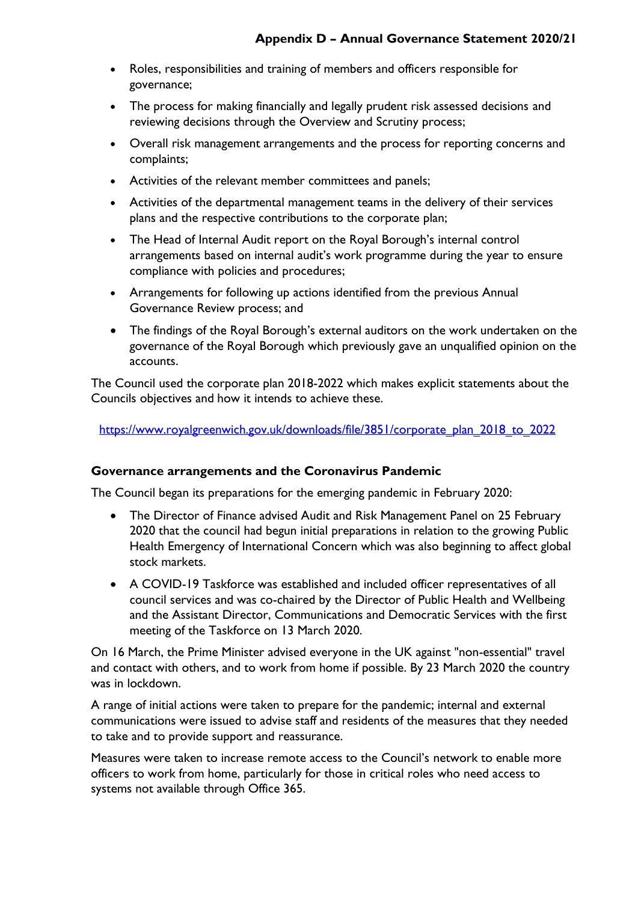- Roles, responsibilities and training of members and officers responsible for governance;
- The process for making financially and legally prudent risk assessed decisions and reviewing decisions through the Overview and Scrutiny process;
- Overall risk management arrangements and the process for reporting concerns and complaints;
- Activities of the relevant member committees and panels;
- Activities of the departmental management teams in the delivery of their services plans and the respective contributions to the corporate plan;
- The Head of Internal Audit report on the Royal Borough's internal control arrangements based on internal audit's work programme during the year to ensure compliance with policies and procedures;
- Arrangements for following up actions identified from the previous Annual Governance Review process; and
- The findings of the Royal Borough's external auditors on the work undertaken on the governance of the Royal Borough which previously gave an unqualified opinion on the accounts.

The Council used the corporate plan 2018-2022 which makes explicit statements about the Councils objectives and how it intends to achieve these.

[https://www.royalgreenwich.gov.uk/downloads/file/3851/corporate\\_plan\\_2018\\_to\\_2022](https://www.royalgreenwich.gov.uk/downloads/file/3851/corporate_plan_2018_to_2022)

#### **Governance arrangements and the Coronavirus Pandemic**

The Council began its preparations for the emerging pandemic in February 2020:

- The Director of Finance advised Audit and Risk Management Panel on 25 February 2020 that the council had begun initial preparations in relation to the growing Public Health Emergency of International Concern which was also beginning to affect global stock markets.
- A COVID-19 Taskforce was established and included officer representatives of all council services and was co-chaired by the Director of Public Health and Wellbeing and the Assistant Director, Communications and Democratic Services with the first meeting of the Taskforce on 13 March 2020.

On 16 March, the Prime Minister advised everyone in the UK against "non-essential" travel and contact with others, and to work from home if possible. By 23 March 2020 the country was in lockdown.

A range of initial actions were taken to prepare for the pandemic; internal and external communications were issued to advise staff and residents of the measures that they needed to take and to provide support and reassurance.

Measures were taken to increase remote access to the Council's network to enable more officers to work from home, particularly for those in critical roles who need access to systems not available through Office 365.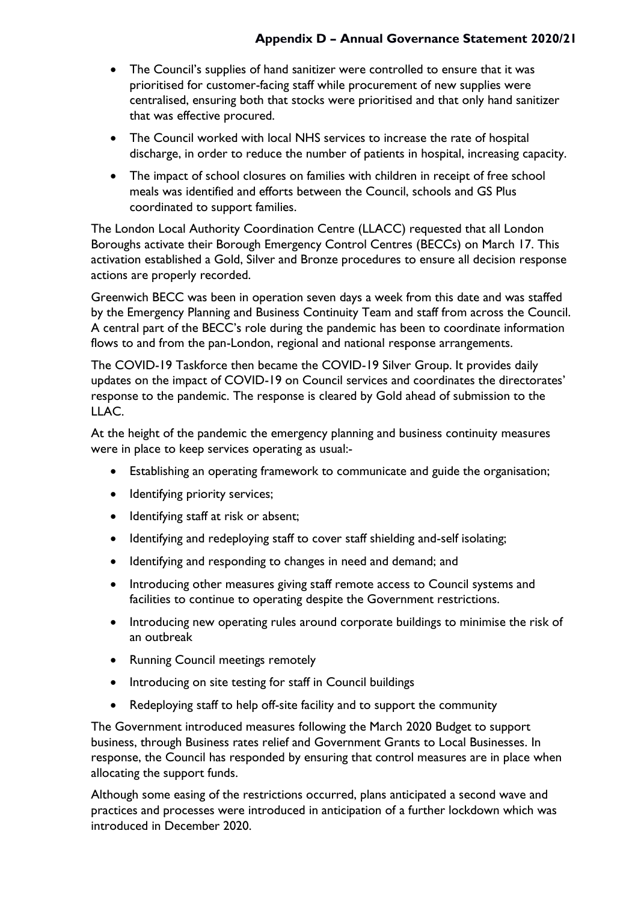- The Council's supplies of hand sanitizer were controlled to ensure that it was prioritised for customer-facing staff while procurement of new supplies were centralised, ensuring both that stocks were prioritised and that only hand sanitizer that was effective procured.
- The Council worked with local NHS services to increase the rate of hospital discharge, in order to reduce the number of patients in hospital, increasing capacity.
- The impact of school closures on families with children in receipt of free school meals was identified and efforts between the Council, schools and GS Plus coordinated to support families.

The London Local Authority Coordination Centre (LLACC) requested that all London Boroughs activate their Borough Emergency Control Centres (BECCs) on March 17. This activation established a Gold, Silver and Bronze procedures to ensure all decision response actions are properly recorded.

Greenwich BECC was been in operation seven days a week from this date and was staffed by the Emergency Planning and Business Continuity Team and staff from across the Council. A central part of the BECC's role during the pandemic has been to coordinate information flows to and from the pan-London, regional and national response arrangements.

The COVID-19 Taskforce then became the COVID-19 Silver Group. It provides daily updates on the impact of COVID-19 on Council services and coordinates the directorates' response to the pandemic. The response is cleared by Gold ahead of submission to the LLAC.

At the height of the pandemic the emergency planning and business continuity measures were in place to keep services operating as usual:-

- Establishing an operating framework to communicate and guide the organisation;
- Identifying priority services;
- Identifying staff at risk or absent;
- Identifying and redeploying staff to cover staff shielding and-self isolating;
- Identifying and responding to changes in need and demand; and
- Introducing other measures giving staff remote access to Council systems and facilities to continue to operating despite the Government restrictions.
- Introducing new operating rules around corporate buildings to minimise the risk of an outbreak
- Running Council meetings remotely
- Introducing on site testing for staff in Council buildings
- Redeploying staff to help off-site facility and to support the community

The Government introduced measures following the March 2020 Budget to support business, through Business rates relief and Government Grants to Local Businesses. In response, the Council has responded by ensuring that control measures are in place when allocating the support funds.

Although some easing of the restrictions occurred, plans anticipated a second wave and practices and processes were introduced in anticipation of a further lockdown which was introduced in December 2020.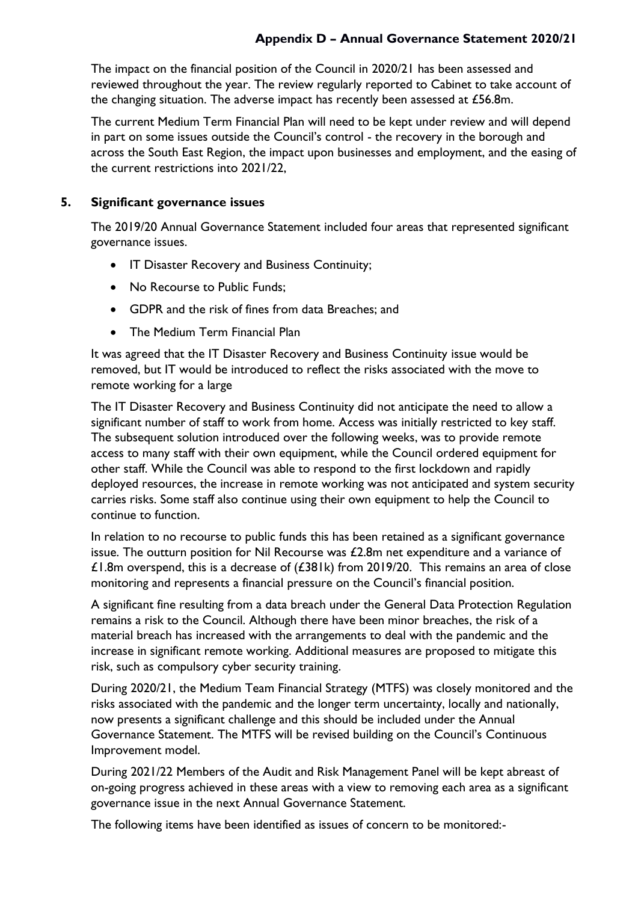The impact on the financial position of the Council in 2020/21 has been assessed and reviewed throughout the year. The review regularly reported to Cabinet to take account of the changing situation. The adverse impact has recently been assessed at £56.8m.

The current Medium Term Financial Plan will need to be kept under review and will depend in part on some issues outside the Council's control - the recovery in the borough and across the South East Region, the impact upon businesses and employment, and the easing of the current restrictions into 2021/22,

#### **5. Significant governance issues**

The 2019/20 Annual Governance Statement included four areas that represented significant governance issues.

- IT Disaster Recovery and Business Continuity;
- No Recourse to Public Funds;
- GDPR and the risk of fines from data Breaches; and
- The Medium Term Financial Plan

It was agreed that the IT Disaster Recovery and Business Continuity issue would be removed, but IT would be introduced to reflect the risks associated with the move to remote working for a large

The IT Disaster Recovery and Business Continuity did not anticipate the need to allow a significant number of staff to work from home. Access was initially restricted to key staff. The subsequent solution introduced over the following weeks, was to provide remote access to many staff with their own equipment, while the Council ordered equipment for other staff. While the Council was able to respond to the first lockdown and rapidly deployed resources, the increase in remote working was not anticipated and system security carries risks. Some staff also continue using their own equipment to help the Council to continue to function.

In relation to no recourse to public funds this has been retained as a significant governance issue. The outturn position for Nil Recourse was  $£2.8m$  net expenditure and a variance of £1.8m overspend, this is a decrease of  $(£381k)$  from 2019/20. This remains an area of close monitoring and represents a financial pressure on the Council's financial position.

A significant fine resulting from a data breach under the General Data Protection Regulation remains a risk to the Council. Although there have been minor breaches, the risk of a material breach has increased with the arrangements to deal with the pandemic and the increase in significant remote working. Additional measures are proposed to mitigate this risk, such as compulsory cyber security training.

During 2020/21, the Medium Team Financial Strategy (MTFS) was closely monitored and the risks associated with the pandemic and the longer term uncertainty, locally and nationally, now presents a significant challenge and this should be included under the Annual Governance Statement. The MTFS will be revised building on the Council's Continuous Improvement model.

During 2021/22 Members of the Audit and Risk Management Panel will be kept abreast of on-going progress achieved in these areas with a view to removing each area as a significant governance issue in the next Annual Governance Statement.

The following items have been identified as issues of concern to be monitored:-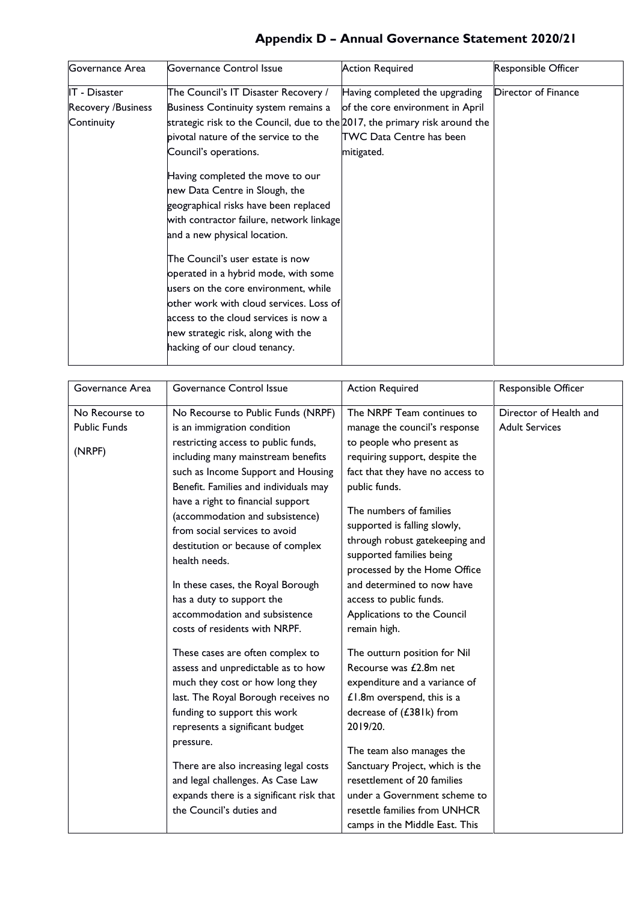| Governance Area    | Governance Control Issue                                                    | <b>Action Required</b>           | <b>Responsible Officer</b> |
|--------------------|-----------------------------------------------------------------------------|----------------------------------|----------------------------|
| IT - Disaster      | The Council's IT Disaster Recovery /                                        | Having completed the upgrading   | Director of Finance        |
| Recovery /Business | Business Continuity system remains a                                        | of the core environment in April |                            |
| Continuity         | strategic risk to the Council, due to the 2017, the primary risk around the |                                  |                            |
|                    | pivotal nature of the service to the                                        | TWC Data Centre has been         |                            |
|                    | Council's operations.                                                       | mitigated.                       |                            |
|                    | Having completed the move to our                                            |                                  |                            |
|                    | new Data Centre in Slough, the                                              |                                  |                            |
|                    | geographical risks have been replaced                                       |                                  |                            |
|                    | with contractor failure, network linkage                                    |                                  |                            |
|                    | and a new physical location.                                                |                                  |                            |
|                    | The Council's user estate is now<br>operated in a hybrid mode, with some    |                                  |                            |
|                    | users on the core environment, while                                        |                                  |                            |
|                    | other work with cloud services. Loss of                                     |                                  |                            |
|                    | access to the cloud services is now a                                       |                                  |                            |
|                    | new strategic risk, along with the                                          |                                  |                            |
|                    | hacking of our cloud tenancy.                                               |                                  |                            |

| Governance Area     | Governance Control Issue                                                                                                                                                                                                         | <b>Action Required</b>                                                                                                                                                                                         | Responsible Officer    |
|---------------------|----------------------------------------------------------------------------------------------------------------------------------------------------------------------------------------------------------------------------------|----------------------------------------------------------------------------------------------------------------------------------------------------------------------------------------------------------------|------------------------|
| No Recourse to      | No Recourse to Public Funds (NRPF)                                                                                                                                                                                               | The NRPF Team continues to                                                                                                                                                                                     | Director of Health and |
| <b>Public Funds</b> | is an immigration condition                                                                                                                                                                                                      | manage the council's response                                                                                                                                                                                  | <b>Adult Services</b>  |
|                     | restricting access to public funds,                                                                                                                                                                                              | to people who present as                                                                                                                                                                                       |                        |
| (NRPF)              | including many mainstream benefits                                                                                                                                                                                               | requiring support, despite the                                                                                                                                                                                 |                        |
|                     | such as Income Support and Housing                                                                                                                                                                                               | fact that they have no access to                                                                                                                                                                               |                        |
|                     | Benefit. Families and individuals may                                                                                                                                                                                            | public funds.                                                                                                                                                                                                  |                        |
|                     | have a right to financial support<br>(accommodation and subsistence)<br>from social services to avoid<br>destitution or because of complex<br>health needs.<br>In these cases, the Royal Borough<br>has a duty to support the    | The numbers of families<br>supported is falling slowly,<br>through robust gatekeeping and<br>supported families being<br>processed by the Home Office<br>and determined to now have<br>access to public funds. |                        |
|                     | accommodation and subsistence                                                                                                                                                                                                    | Applications to the Council                                                                                                                                                                                    |                        |
|                     | costs of residents with NRPF.                                                                                                                                                                                                    | remain high.                                                                                                                                                                                                   |                        |
|                     | These cases are often complex to<br>assess and unpredictable as to how<br>much they cost or how long they<br>last. The Royal Borough receives no<br>funding to support this work<br>represents a significant budget<br>pressure. | The outturn position for Nil<br>Recourse was £2.8m net<br>expenditure and a variance of<br>£1.8m overspend, this is a<br>decrease of (£381k) from<br>2019/20.<br>The team also manages the                     |                        |
|                     | There are also increasing legal costs<br>and legal challenges. As Case Law                                                                                                                                                       | Sanctuary Project, which is the<br>resettlement of 20 families                                                                                                                                                 |                        |
|                     | expands there is a significant risk that                                                                                                                                                                                         | under a Government scheme to                                                                                                                                                                                   |                        |
|                     | the Council's duties and                                                                                                                                                                                                         | resettle families from UNHCR                                                                                                                                                                                   |                        |
|                     |                                                                                                                                                                                                                                  | camps in the Middle East. This                                                                                                                                                                                 |                        |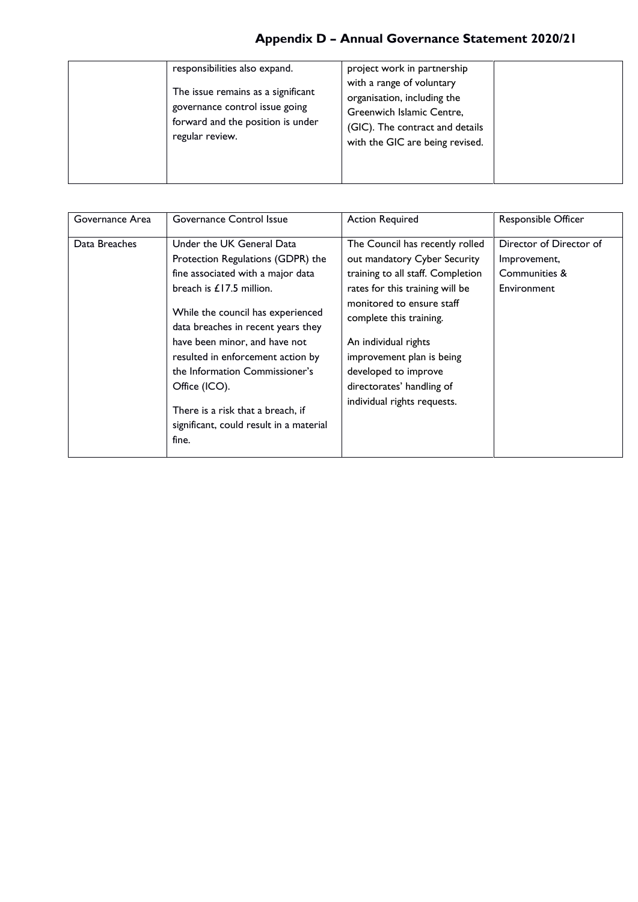| responsibilities also expand.<br>The issue remains as a significant<br>governance control issue going<br>forward and the position is under<br>regular review. | project work in partnership<br>with a range of voluntary<br>organisation, including the<br>Greenwich Islamic Centre,<br>(GIC). The contract and details<br>with the GIC are being revised. |
|---------------------------------------------------------------------------------------------------------------------------------------------------------------|--------------------------------------------------------------------------------------------------------------------------------------------------------------------------------------------|
|---------------------------------------------------------------------------------------------------------------------------------------------------------------|--------------------------------------------------------------------------------------------------------------------------------------------------------------------------------------------|

| Governance Area | Governance Control Issue                                                                                                                                                                                                                                                                                                                                                                                                       | <b>Action Required</b>                                                                                                                                                                                                                                                                                                                   | Responsible Officer                                                     |
|-----------------|--------------------------------------------------------------------------------------------------------------------------------------------------------------------------------------------------------------------------------------------------------------------------------------------------------------------------------------------------------------------------------------------------------------------------------|------------------------------------------------------------------------------------------------------------------------------------------------------------------------------------------------------------------------------------------------------------------------------------------------------------------------------------------|-------------------------------------------------------------------------|
| Data Breaches   | Under the UK General Data<br>Protection Regulations (GDPR) the<br>fine associated with a major data<br>breach is $£17.5$ million.<br>While the council has experienced<br>data breaches in recent years they<br>have been minor, and have not<br>resulted in enforcement action by<br>the Information Commissioner's<br>Office (ICO).<br>There is a risk that a breach, if<br>significant, could result in a material<br>fine. | The Council has recently rolled<br>out mandatory Cyber Security<br>training to all staff. Completion<br>rates for this training will be<br>monitored to ensure staff<br>complete this training.<br>An individual rights<br>improvement plan is being<br>developed to improve<br>directorates' handling of<br>individual rights requests. | Director of Director of<br>Improvement,<br>Communities &<br>Environment |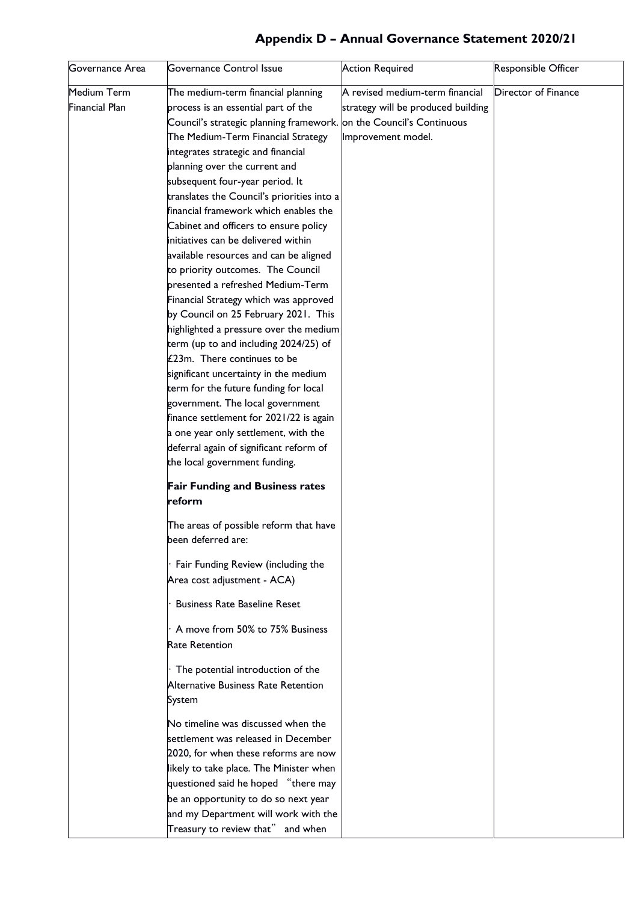| Director of Finance<br>A revised medium-term financial<br>The medium-term financial planning<br>process is an essential part of the<br>strategy will be produced building<br>Council's strategic planning framework. on the Council's Continuous<br>The Medium-Term Financial Strategy<br>Improvement model.<br>integrates strategic and financial<br>planning over the current and<br>subsequent four-year period. It<br>translates the Council's priorities into a<br>financial framework which enables the<br>Cabinet and officers to ensure policy<br>initiatives can be delivered within<br>available resources and can be aligned<br>to priority outcomes. The Council<br>presented a refreshed Medium-Term<br>Financial Strategy which was approved<br>by Council on 25 February 2021. This<br>highlighted a pressure over the medium<br>term (up to and including 2024/25) of<br>£23m. There continues to be<br>significant uncertainty in the medium<br>term for the future funding for local<br>government. The local government<br>finance settlement for 2021/22 is again<br>a one year only settlement, with the<br>deferral again of significant reform of<br>the local government funding.<br><b>Fair Funding and Business rates</b><br>reform<br>The areas of possible reform that have<br>been deferred are:<br>Fair Funding Review (including the<br>Area cost adjustment - ACA)<br><b>Business Rate Baseline Reset</b><br>A move from 50% to 75% Business<br><b>Rate Retention</b><br>The potential introduction of the<br>Alternative Business Rate Retention<br>System<br>No timeline was discussed when the<br>settlement was released in December<br>2020, for when these reforms are now<br>likely to take place. The Minister when<br>questioned said he hoped "there may<br>be an opportunity to do so next year<br>and my Department will work with the<br>Treasury to review that" and when | Governance Area | Governance Control Issue | <b>Action Required</b> | Responsible Officer |
|-------------------------------------------------------------------------------------------------------------------------------------------------------------------------------------------------------------------------------------------------------------------------------------------------------------------------------------------------------------------------------------------------------------------------------------------------------------------------------------------------------------------------------------------------------------------------------------------------------------------------------------------------------------------------------------------------------------------------------------------------------------------------------------------------------------------------------------------------------------------------------------------------------------------------------------------------------------------------------------------------------------------------------------------------------------------------------------------------------------------------------------------------------------------------------------------------------------------------------------------------------------------------------------------------------------------------------------------------------------------------------------------------------------------------------------------------------------------------------------------------------------------------------------------------------------------------------------------------------------------------------------------------------------------------------------------------------------------------------------------------------------------------------------------------------------------------------------------------------------------------------------------------------------------------|-----------------|--------------------------|------------------------|---------------------|
|                                                                                                                                                                                                                                                                                                                                                                                                                                                                                                                                                                                                                                                                                                                                                                                                                                                                                                                                                                                                                                                                                                                                                                                                                                                                                                                                                                                                                                                                                                                                                                                                                                                                                                                                                                                                                                                                                                                         | Medium Term     |                          |                        |                     |
|                                                                                                                                                                                                                                                                                                                                                                                                                                                                                                                                                                                                                                                                                                                                                                                                                                                                                                                                                                                                                                                                                                                                                                                                                                                                                                                                                                                                                                                                                                                                                                                                                                                                                                                                                                                                                                                                                                                         | Financial Plan  |                          |                        |                     |
|                                                                                                                                                                                                                                                                                                                                                                                                                                                                                                                                                                                                                                                                                                                                                                                                                                                                                                                                                                                                                                                                                                                                                                                                                                                                                                                                                                                                                                                                                                                                                                                                                                                                                                                                                                                                                                                                                                                         |                 |                          |                        |                     |
|                                                                                                                                                                                                                                                                                                                                                                                                                                                                                                                                                                                                                                                                                                                                                                                                                                                                                                                                                                                                                                                                                                                                                                                                                                                                                                                                                                                                                                                                                                                                                                                                                                                                                                                                                                                                                                                                                                                         |                 |                          |                        |                     |
|                                                                                                                                                                                                                                                                                                                                                                                                                                                                                                                                                                                                                                                                                                                                                                                                                                                                                                                                                                                                                                                                                                                                                                                                                                                                                                                                                                                                                                                                                                                                                                                                                                                                                                                                                                                                                                                                                                                         |                 |                          |                        |                     |
|                                                                                                                                                                                                                                                                                                                                                                                                                                                                                                                                                                                                                                                                                                                                                                                                                                                                                                                                                                                                                                                                                                                                                                                                                                                                                                                                                                                                                                                                                                                                                                                                                                                                                                                                                                                                                                                                                                                         |                 |                          |                        |                     |
|                                                                                                                                                                                                                                                                                                                                                                                                                                                                                                                                                                                                                                                                                                                                                                                                                                                                                                                                                                                                                                                                                                                                                                                                                                                                                                                                                                                                                                                                                                                                                                                                                                                                                                                                                                                                                                                                                                                         |                 |                          |                        |                     |
|                                                                                                                                                                                                                                                                                                                                                                                                                                                                                                                                                                                                                                                                                                                                                                                                                                                                                                                                                                                                                                                                                                                                                                                                                                                                                                                                                                                                                                                                                                                                                                                                                                                                                                                                                                                                                                                                                                                         |                 |                          |                        |                     |
|                                                                                                                                                                                                                                                                                                                                                                                                                                                                                                                                                                                                                                                                                                                                                                                                                                                                                                                                                                                                                                                                                                                                                                                                                                                                                                                                                                                                                                                                                                                                                                                                                                                                                                                                                                                                                                                                                                                         |                 |                          |                        |                     |
|                                                                                                                                                                                                                                                                                                                                                                                                                                                                                                                                                                                                                                                                                                                                                                                                                                                                                                                                                                                                                                                                                                                                                                                                                                                                                                                                                                                                                                                                                                                                                                                                                                                                                                                                                                                                                                                                                                                         |                 |                          |                        |                     |
|                                                                                                                                                                                                                                                                                                                                                                                                                                                                                                                                                                                                                                                                                                                                                                                                                                                                                                                                                                                                                                                                                                                                                                                                                                                                                                                                                                                                                                                                                                                                                                                                                                                                                                                                                                                                                                                                                                                         |                 |                          |                        |                     |
|                                                                                                                                                                                                                                                                                                                                                                                                                                                                                                                                                                                                                                                                                                                                                                                                                                                                                                                                                                                                                                                                                                                                                                                                                                                                                                                                                                                                                                                                                                                                                                                                                                                                                                                                                                                                                                                                                                                         |                 |                          |                        |                     |
|                                                                                                                                                                                                                                                                                                                                                                                                                                                                                                                                                                                                                                                                                                                                                                                                                                                                                                                                                                                                                                                                                                                                                                                                                                                                                                                                                                                                                                                                                                                                                                                                                                                                                                                                                                                                                                                                                                                         |                 |                          |                        |                     |
|                                                                                                                                                                                                                                                                                                                                                                                                                                                                                                                                                                                                                                                                                                                                                                                                                                                                                                                                                                                                                                                                                                                                                                                                                                                                                                                                                                                                                                                                                                                                                                                                                                                                                                                                                                                                                                                                                                                         |                 |                          |                        |                     |
|                                                                                                                                                                                                                                                                                                                                                                                                                                                                                                                                                                                                                                                                                                                                                                                                                                                                                                                                                                                                                                                                                                                                                                                                                                                                                                                                                                                                                                                                                                                                                                                                                                                                                                                                                                                                                                                                                                                         |                 |                          |                        |                     |
|                                                                                                                                                                                                                                                                                                                                                                                                                                                                                                                                                                                                                                                                                                                                                                                                                                                                                                                                                                                                                                                                                                                                                                                                                                                                                                                                                                                                                                                                                                                                                                                                                                                                                                                                                                                                                                                                                                                         |                 |                          |                        |                     |
|                                                                                                                                                                                                                                                                                                                                                                                                                                                                                                                                                                                                                                                                                                                                                                                                                                                                                                                                                                                                                                                                                                                                                                                                                                                                                                                                                                                                                                                                                                                                                                                                                                                                                                                                                                                                                                                                                                                         |                 |                          |                        |                     |
|                                                                                                                                                                                                                                                                                                                                                                                                                                                                                                                                                                                                                                                                                                                                                                                                                                                                                                                                                                                                                                                                                                                                                                                                                                                                                                                                                                                                                                                                                                                                                                                                                                                                                                                                                                                                                                                                                                                         |                 |                          |                        |                     |
|                                                                                                                                                                                                                                                                                                                                                                                                                                                                                                                                                                                                                                                                                                                                                                                                                                                                                                                                                                                                                                                                                                                                                                                                                                                                                                                                                                                                                                                                                                                                                                                                                                                                                                                                                                                                                                                                                                                         |                 |                          |                        |                     |
|                                                                                                                                                                                                                                                                                                                                                                                                                                                                                                                                                                                                                                                                                                                                                                                                                                                                                                                                                                                                                                                                                                                                                                                                                                                                                                                                                                                                                                                                                                                                                                                                                                                                                                                                                                                                                                                                                                                         |                 |                          |                        |                     |
|                                                                                                                                                                                                                                                                                                                                                                                                                                                                                                                                                                                                                                                                                                                                                                                                                                                                                                                                                                                                                                                                                                                                                                                                                                                                                                                                                                                                                                                                                                                                                                                                                                                                                                                                                                                                                                                                                                                         |                 |                          |                        |                     |
|                                                                                                                                                                                                                                                                                                                                                                                                                                                                                                                                                                                                                                                                                                                                                                                                                                                                                                                                                                                                                                                                                                                                                                                                                                                                                                                                                                                                                                                                                                                                                                                                                                                                                                                                                                                                                                                                                                                         |                 |                          |                        |                     |
|                                                                                                                                                                                                                                                                                                                                                                                                                                                                                                                                                                                                                                                                                                                                                                                                                                                                                                                                                                                                                                                                                                                                                                                                                                                                                                                                                                                                                                                                                                                                                                                                                                                                                                                                                                                                                                                                                                                         |                 |                          |                        |                     |
|                                                                                                                                                                                                                                                                                                                                                                                                                                                                                                                                                                                                                                                                                                                                                                                                                                                                                                                                                                                                                                                                                                                                                                                                                                                                                                                                                                                                                                                                                                                                                                                                                                                                                                                                                                                                                                                                                                                         |                 |                          |                        |                     |
|                                                                                                                                                                                                                                                                                                                                                                                                                                                                                                                                                                                                                                                                                                                                                                                                                                                                                                                                                                                                                                                                                                                                                                                                                                                                                                                                                                                                                                                                                                                                                                                                                                                                                                                                                                                                                                                                                                                         |                 |                          |                        |                     |
|                                                                                                                                                                                                                                                                                                                                                                                                                                                                                                                                                                                                                                                                                                                                                                                                                                                                                                                                                                                                                                                                                                                                                                                                                                                                                                                                                                                                                                                                                                                                                                                                                                                                                                                                                                                                                                                                                                                         |                 |                          |                        |                     |
|                                                                                                                                                                                                                                                                                                                                                                                                                                                                                                                                                                                                                                                                                                                                                                                                                                                                                                                                                                                                                                                                                                                                                                                                                                                                                                                                                                                                                                                                                                                                                                                                                                                                                                                                                                                                                                                                                                                         |                 |                          |                        |                     |
|                                                                                                                                                                                                                                                                                                                                                                                                                                                                                                                                                                                                                                                                                                                                                                                                                                                                                                                                                                                                                                                                                                                                                                                                                                                                                                                                                                                                                                                                                                                                                                                                                                                                                                                                                                                                                                                                                                                         |                 |                          |                        |                     |
|                                                                                                                                                                                                                                                                                                                                                                                                                                                                                                                                                                                                                                                                                                                                                                                                                                                                                                                                                                                                                                                                                                                                                                                                                                                                                                                                                                                                                                                                                                                                                                                                                                                                                                                                                                                                                                                                                                                         |                 |                          |                        |                     |
|                                                                                                                                                                                                                                                                                                                                                                                                                                                                                                                                                                                                                                                                                                                                                                                                                                                                                                                                                                                                                                                                                                                                                                                                                                                                                                                                                                                                                                                                                                                                                                                                                                                                                                                                                                                                                                                                                                                         |                 |                          |                        |                     |
|                                                                                                                                                                                                                                                                                                                                                                                                                                                                                                                                                                                                                                                                                                                                                                                                                                                                                                                                                                                                                                                                                                                                                                                                                                                                                                                                                                                                                                                                                                                                                                                                                                                                                                                                                                                                                                                                                                                         |                 |                          |                        |                     |
|                                                                                                                                                                                                                                                                                                                                                                                                                                                                                                                                                                                                                                                                                                                                                                                                                                                                                                                                                                                                                                                                                                                                                                                                                                                                                                                                                                                                                                                                                                                                                                                                                                                                                                                                                                                                                                                                                                                         |                 |                          |                        |                     |
|                                                                                                                                                                                                                                                                                                                                                                                                                                                                                                                                                                                                                                                                                                                                                                                                                                                                                                                                                                                                                                                                                                                                                                                                                                                                                                                                                                                                                                                                                                                                                                                                                                                                                                                                                                                                                                                                                                                         |                 |                          |                        |                     |
|                                                                                                                                                                                                                                                                                                                                                                                                                                                                                                                                                                                                                                                                                                                                                                                                                                                                                                                                                                                                                                                                                                                                                                                                                                                                                                                                                                                                                                                                                                                                                                                                                                                                                                                                                                                                                                                                                                                         |                 |                          |                        |                     |
|                                                                                                                                                                                                                                                                                                                                                                                                                                                                                                                                                                                                                                                                                                                                                                                                                                                                                                                                                                                                                                                                                                                                                                                                                                                                                                                                                                                                                                                                                                                                                                                                                                                                                                                                                                                                                                                                                                                         |                 |                          |                        |                     |
|                                                                                                                                                                                                                                                                                                                                                                                                                                                                                                                                                                                                                                                                                                                                                                                                                                                                                                                                                                                                                                                                                                                                                                                                                                                                                                                                                                                                                                                                                                                                                                                                                                                                                                                                                                                                                                                                                                                         |                 |                          |                        |                     |
|                                                                                                                                                                                                                                                                                                                                                                                                                                                                                                                                                                                                                                                                                                                                                                                                                                                                                                                                                                                                                                                                                                                                                                                                                                                                                                                                                                                                                                                                                                                                                                                                                                                                                                                                                                                                                                                                                                                         |                 |                          |                        |                     |
|                                                                                                                                                                                                                                                                                                                                                                                                                                                                                                                                                                                                                                                                                                                                                                                                                                                                                                                                                                                                                                                                                                                                                                                                                                                                                                                                                                                                                                                                                                                                                                                                                                                                                                                                                                                                                                                                                                                         |                 |                          |                        |                     |
|                                                                                                                                                                                                                                                                                                                                                                                                                                                                                                                                                                                                                                                                                                                                                                                                                                                                                                                                                                                                                                                                                                                                                                                                                                                                                                                                                                                                                                                                                                                                                                                                                                                                                                                                                                                                                                                                                                                         |                 |                          |                        |                     |
|                                                                                                                                                                                                                                                                                                                                                                                                                                                                                                                                                                                                                                                                                                                                                                                                                                                                                                                                                                                                                                                                                                                                                                                                                                                                                                                                                                                                                                                                                                                                                                                                                                                                                                                                                                                                                                                                                                                         |                 |                          |                        |                     |
|                                                                                                                                                                                                                                                                                                                                                                                                                                                                                                                                                                                                                                                                                                                                                                                                                                                                                                                                                                                                                                                                                                                                                                                                                                                                                                                                                                                                                                                                                                                                                                                                                                                                                                                                                                                                                                                                                                                         |                 |                          |                        |                     |
|                                                                                                                                                                                                                                                                                                                                                                                                                                                                                                                                                                                                                                                                                                                                                                                                                                                                                                                                                                                                                                                                                                                                                                                                                                                                                                                                                                                                                                                                                                                                                                                                                                                                                                                                                                                                                                                                                                                         |                 |                          |                        |                     |
|                                                                                                                                                                                                                                                                                                                                                                                                                                                                                                                                                                                                                                                                                                                                                                                                                                                                                                                                                                                                                                                                                                                                                                                                                                                                                                                                                                                                                                                                                                                                                                                                                                                                                                                                                                                                                                                                                                                         |                 |                          |                        |                     |
|                                                                                                                                                                                                                                                                                                                                                                                                                                                                                                                                                                                                                                                                                                                                                                                                                                                                                                                                                                                                                                                                                                                                                                                                                                                                                                                                                                                                                                                                                                                                                                                                                                                                                                                                                                                                                                                                                                                         |                 |                          |                        |                     |
|                                                                                                                                                                                                                                                                                                                                                                                                                                                                                                                                                                                                                                                                                                                                                                                                                                                                                                                                                                                                                                                                                                                                                                                                                                                                                                                                                                                                                                                                                                                                                                                                                                                                                                                                                                                                                                                                                                                         |                 |                          |                        |                     |
|                                                                                                                                                                                                                                                                                                                                                                                                                                                                                                                                                                                                                                                                                                                                                                                                                                                                                                                                                                                                                                                                                                                                                                                                                                                                                                                                                                                                                                                                                                                                                                                                                                                                                                                                                                                                                                                                                                                         |                 |                          |                        |                     |